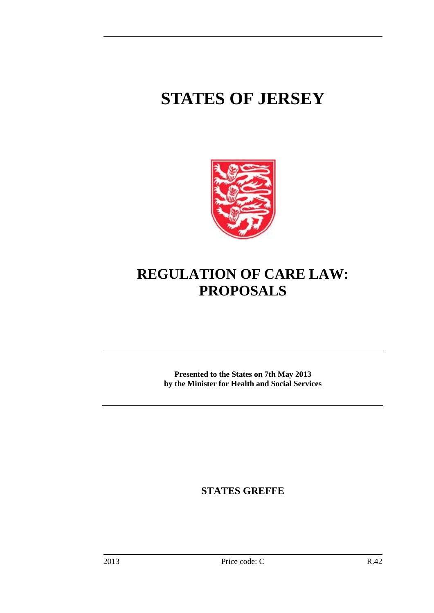# **STATES OF JERSEY**



# **REGULATION OF CARE LAW: PROPOSALS**

**Presented to the States on 7th May 2013 by the Minister for Health and Social Services**

<span id="page-0-0"></span>**STATES GREFFE**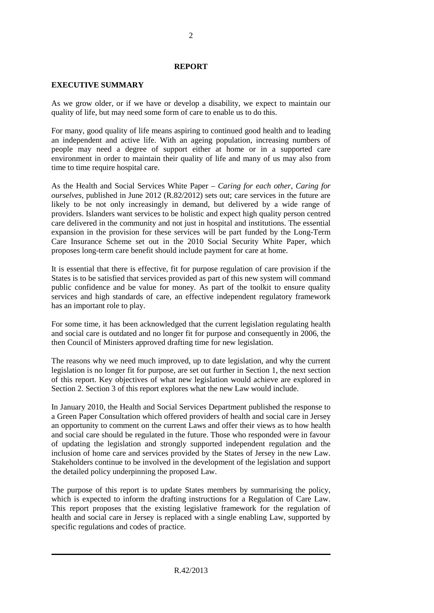#### **REPORT**

# **EXECUTIVE SUMMARY**

As we grow older, or if we have or develop a disability, we expect to maintain our quality of life, but may need some form of care to enable us to do this.

For many, good quality of life means aspiring to continued good health and to leading an independent and active life. With an ageing population, increasing numbers of people may need a degree of support either at home or in a supported care environment in order to maintain their quality of life and many of us may also from time to time require hospital care.

As the Health and Social Services White Paper – *Caring for each other, Caring for ourselves*, published in June 2012 (R.82/2012) sets out; care services in the future are likely to be not only increasingly in demand, but delivered by a wide range of providers. Islanders want services to be holistic and expect high quality person centred care delivered in the community and not just in hospital and institutions. The essential expansion in the provision for these services will be part funded by the Long-Term Care Insurance Scheme set out in the 2010 Social Security White Paper, which proposes long-term care benefit should include payment for care at home.

It is essential that there is effective, fit for purpose regulation of care provision if the States is to be satisfied that services provided as part of this new system will command public confidence and be value for money. As part of the toolkit to ensure quality services and high standards of care, an effective independent regulatory framework has an important role to play.

For some time, it has been acknowledged that the current legislation regulating health and social care is outdated and no longer fit for purpose and consequently in 2006, the then Council of Ministers approved drafting time for new legislation.

The reasons why we need much improved, up to date legislation, and why the current legislation is no longer fit for purpose, are set out further in Section 1, the next section of this report. Key objectives of what new legislation would achieve are explored in Section 2. Section 3 of this report explores what the new Law would include.

In January 2010, the Health and Social Services Department published the response to a Green Paper Consultation which offered providers of health and social care in Jersey an opportunity to comment on the current Laws and offer their views as to how health and social care should be regulated in the future. Those who responded were in favour of updating the legislation and strongly supported independent regulation and the inclusion of home care and services provided by the States of Jersey in the new Law. Stakeholders continue to be involved in the development of the legislation and support the detailed policy underpinning the proposed Law.

The purpose of this report is to update States members by summarising the policy, which is expected to inform the drafting instructions for a Regulation of Care Law. This report proposes that the existing legislative framework for the regulation of health and social care in Jersey is replaced with a single enabling Law, supported by specific regulations and codes of practice.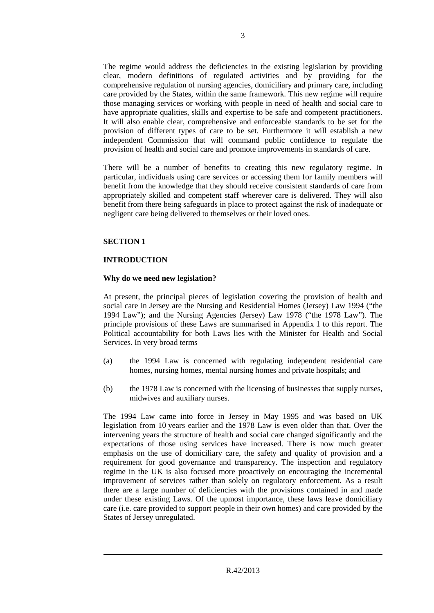The regime would address the deficiencies in the existing legislation by providing clear, modern definitions of regulated activities and by providing for the comprehensive regulation of nursing agencies, domiciliary and primary care, including care provided by the States, within the same framework. This new regime will require those managing services or working with people in need of health and social care to have appropriate qualities, skills and expertise to be safe and competent practitioners. It will also enable clear, comprehensive and enforceable standards to be set for the provision of different types of care to be set. Furthermore it will establish a new independent Commission that will command public confidence to regulate the provision of health and social care and promote improvements in standards of care.

There will be a number of benefits to creating this new regulatory regime. In particular, individuals using care services or accessing them for family members will benefit from the knowledge that they should receive consistent standards of care from appropriately skilled and competent staff wherever care is delivered. They will also benefit from there being safeguards in place to protect against the risk of inadequate or negligent care being delivered to themselves or their loved ones.

#### **SECTION 1**

# **INTRODUCTION**

#### **Why do we need new legislation?**

At present, the principal pieces of legislation covering the provision of health and social care in Jersey are the Nursing and Residential Homes (Jersey) Law 1994 ("the 1994 Law"); and the Nursing Agencies (Jersey) Law 1978 ("the 1978 Law"). The principle provisions of these Laws are summarised in Appendix 1 to this report. The Political accountability for both Laws lies with the Minister for Health and Social Services. In very broad terms –

- (a) the 1994 Law is concerned with regulating independent residential care homes, nursing homes, mental nursing homes and private hospitals; and
- (b) the 1978 Law is concerned with the licensing of businesses that supply nurses, midwives and auxiliary nurses.

The 1994 Law came into force in Jersey in May 1995 and was based on UK legislation from 10 years earlier and the 1978 Law is even older than that. Over the intervening years the structure of health and social care changed significantly and the expectations of those using services have increased. There is now much greater emphasis on the use of domiciliary care, the safety and quality of provision and a requirement for good governance and transparency. The inspection and regulatory regime in the UK is also focused more proactively on encouraging the incremental improvement of services rather than solely on regulatory enforcement. As a result there are a large number of deficiencies with the provisions contained in and made under these existing Laws. Of the upmost importance, these laws leave domiciliary care (i.e. care provided to support people in their own homes) and care provided by the States of Jersey unregulated.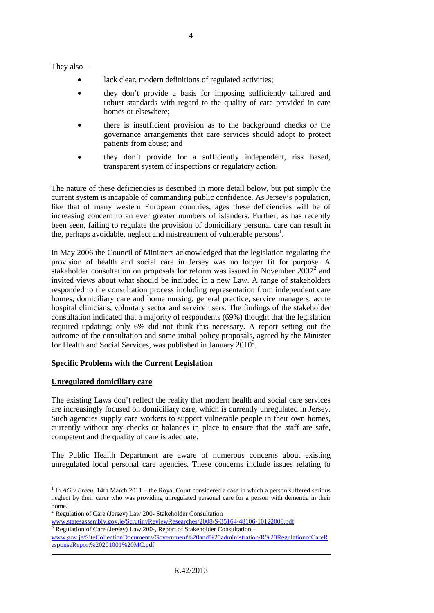They also –

- lack clear, modern definitions of regulated activities;
- they don't provide a basis for imposing sufficiently tailored and robust standards with regard to the quality of care provided in care homes or elsewhere;
- there is insufficient provision as to the background checks or the governance arrangements that care services should adopt to protect patients from abuse; and
- they don't provide for a sufficiently independent, risk based, transparent system of inspections or regulatory action.

The nature of these deficiencies is described in more detail below, but put simply the current system is incapable of commanding public confidence. As Jersey's population, like that of many western European countries, ages these deficiencies will be of increasing concern to an ever greater numbers of islanders. Further, as has recently been seen, failing to regulate the provision of domiciliary personal care can result in the, perhaps avoidable, neglect and mistreatment of vulnerable persons<sup>[1](#page-0-0)</sup>.

In May 2006 the Council of Ministers acknowledged that the legislation regulating the provision of health and social care in Jersey was no longer fit for purpose. A stakeholder consultation on proposals for reform was issued in November  $2007<sup>2</sup>$  $2007<sup>2</sup>$  and invited views about what should be included in a new Law. A range of stakeholders responded to the consultation process including representation from independent care homes, domiciliary care and home nursing, general practice, service managers, acute hospital clinicians, voluntary sector and service users. The findings of the stakeholder consultation indicated that a majority of respondents (69%) thought that the legislation required updating; only 6% did not think this necessary. A report setting out the outcome of the consultation and some initial policy proposals, agreed by the Minister for Health and Social Services, was published in January  $2010<sup>3</sup>$  $2010<sup>3</sup>$  $2010<sup>3</sup>$ .

# **Specific Problems with the Current Legislation**

# **Unregulated domiciliary care**

The existing Laws don't reflect the reality that modern health and social care services are increasingly focused on domiciliary care, which is currently unregulated in Jersey. Such agencies supply care workers to support vulnerable people in their own homes, currently without any checks or balances in place to ensure that the staff are safe, competent and the quality of care is adequate.

The Public Health Department are aware of numerous concerns about existing unregulated local personal care agencies. These concerns include issues relating to

 $1 \text{ In } AG \text{ v } Breen$ , 14th March 2011 – the Royal Court considered a case in which a person suffered serious neglect by their carer who was providing unregulated personal care for a person with dementia in their home.<br>
<sup>2</sup> Regulation of Care (Jersey) Law 200- Stakeholder Consultation<br>
<u>www.statesassembly.gov.je/ScrutinyReviewResearches/2008/S-35164-48106-10122008.pdf</u>

<span id="page-3-0"></span>

 $3$  Regulation of Care (Jersey) Law 200-, Report of Stakeholder Consultation –

<span id="page-3-2"></span><span id="page-3-1"></span>[www.gov.je/SiteCollectionDocuments/Government%20and%20administration/R%20RegulationofCareR](http://www.gov.je/SiteCollectionDocuments/Government%20and%20administration/R%20RegulationofCareResponseReport%20201001%20MC.pdf) [esponseReport%20201001%20MC.pdf](http://www.gov.je/SiteCollectionDocuments/Government%20and%20administration/R%20RegulationofCareResponseReport%20201001%20MC.pdf)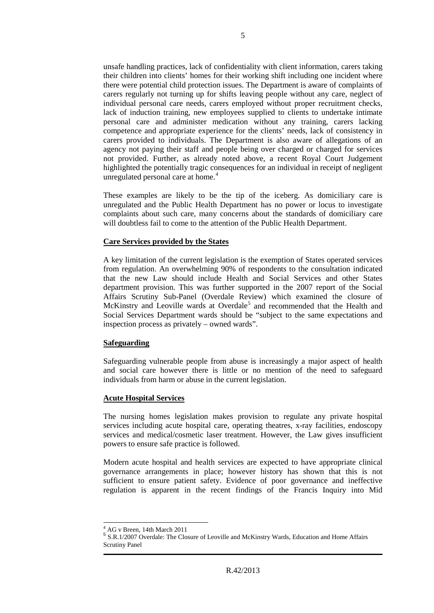unsafe handling practices, lack of confidentiality with client information, carers taking their children into clients' homes for their working shift including one incident where there were potential child protection issues. The Department is aware of complaints of carers regularly not turning up for shifts leaving people without any care, neglect of individual personal care needs, carers employed without proper recruitment checks, lack of induction training, new employees supplied to clients to undertake intimate personal care and administer medication without any training, carers lacking competence and appropriate experience for the clients' needs, lack of consistency in carers provided to individuals. The Department is also aware of allegations of an agency not paying their staff and people being over charged or charged for services not provided. Further, as already noted above, a recent Royal Court Judgement highlighted the potentially tragic consequences for an individual in receipt of negligent unregulated personal care at home.<sup>[4](#page-3-2)</sup>

These examples are likely to be the tip of the iceberg. As domiciliary care is unregulated and the Public Health Department has no power or locus to investigate complaints about such care, many concerns about the standards of domiciliary care will doubtless fail to come to the attention of the Public Health Department.

#### **Care Services provided by the States**

A key limitation of the current legislation is the exemption of States operated services from regulation. An overwhelming 90% of respondents to the consultation indicated that the new Law should include Health and Social Services and other States department provision. This was further supported in the 2007 report of the Social Affairs Scrutiny Sub-Panel (Overdale Review) which examined the closure of McKinstry and Leoville wards at Overdale<sup>[5](#page-4-0)</sup> and recommended that the Health and Social Services Department wards should be "subject to the same expectations and inspection process as privately – owned wards".

#### **Safeguarding**

Safeguarding vulnerable people from abuse is increasingly a major aspect of health and social care however there is little or no mention of the need to safeguard individuals from harm or abuse in the current legislation.

#### **Acute Hospital Services**

The nursing homes legislation makes provision to regulate any private hospital services including acute hospital care, operating theatres, x-ray facilities, endoscopy services and medical/cosmetic laser treatment. However, the Law gives insufficient powers to ensure safe practice is followed.

Modern acute hospital and health services are expected to have appropriate clinical governance arrangements in place; however history has shown that this is not sufficient to ensure patient safety. Evidence of poor governance and ineffective regulation is apparent in the recent findings of the Francis Inquiry into Mid

<span id="page-4-1"></span><span id="page-4-0"></span>

 $^{4}$  AG v Breen, 14th March 2011<br> $^{5}$  S.R.1/2007 Overdale: The Closure of Leoville and McKinstry Wards, Education and Home Affairs Scrutiny Panel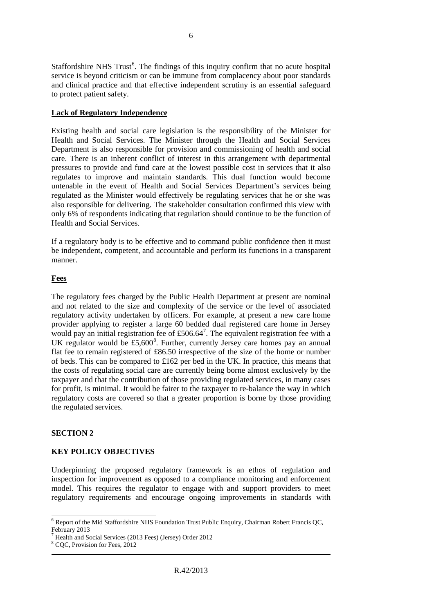Staffordshire NHS Trust<sup>[6](#page-4-1)</sup>. The findings of this inquiry confirm that no acute hospital service is beyond criticism or can be immune from complacency about poor standards and clinical practice and that effective independent scrutiny is an essential safeguard to protect patient safety.

# **Lack of Regulatory Independence**

Existing health and social care legislation is the responsibility of the Minister for Health and Social Services. The Minister through the Health and Social Services Department is also responsible for provision and commissioning of health and social care. There is an inherent conflict of interest in this arrangement with departmental pressures to provide and fund care at the lowest possible cost in services that it also regulates to improve and maintain standards. This dual function would become untenable in the event of Health and Social Services Department's services being regulated as the Minister would effectively be regulating services that he or she was also responsible for delivering. The stakeholder consultation confirmed this view with only 6% of respondents indicating that regulation should continue to be the function of Health and Social Services.

If a regulatory body is to be effective and to command public confidence then it must be independent, competent, and accountable and perform its functions in a transparent manner.

# **Fees**

The regulatory fees charged by the Public Health Department at present are nominal and not related to the size and complexity of the service or the level of associated regulatory activity undertaken by officers. For example, at present a new care home provider applying to register a large 60 bedded dual registered care home in Jersey would pay an initial registration fee of £506.64<sup>[7](#page-5-0)</sup>. The equivalent registration fee with a UK regulator would be  $£5,600^8$  $£5,600^8$ . Further, currently Jersey care homes pay an annual flat fee to remain registered of £86.50 irrespective of the size of the home or number of beds. This can be compared to £162 per bed in the UK. In practice, this means that the costs of regulating social care are currently being borne almost exclusively by the taxpayer and that the contribution of those providing regulated services, in many cases for profit, is minimal. It would be fairer to the taxpayer to re-balance the way in which regulatory costs are covered so that a greater proportion is borne by those providing the regulated services.

# **SECTION 2**

# **KEY POLICY OBJECTIVES**

Underpinning the proposed regulatory framework is an ethos of regulation and inspection for improvement as opposed to a compliance monitoring and enforcement model. This requires the regulator to engage with and support providers to meet regulatory requirements and encourage ongoing improvements in standards with

<span id="page-5-2"></span> <sup>6</sup> Report of the Mid Staffordshire NHS Foundation Trust Public Enquiry, Chairman Robert Francis QC, February 2013

<span id="page-5-0"></span><sup>7</sup> Health and Social Services (2013 Fees) (Jersey) Order 2012

<span id="page-5-1"></span><sup>&</sup>lt;sup>8</sup> CQC, Provision for Fees, 2012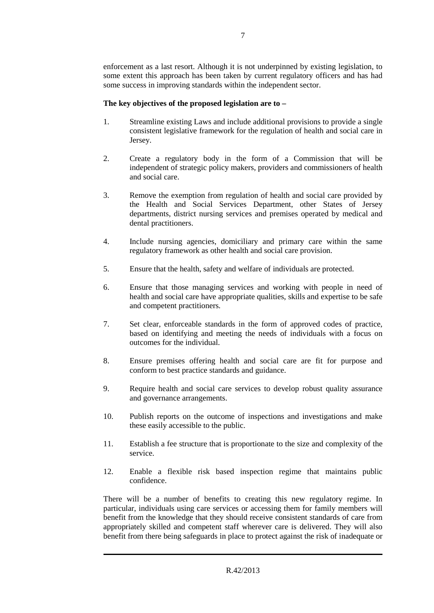enforcement as a last resort. Although it is not underpinned by existing legislation, to some extent this approach has been taken by current regulatory officers and has had some success in improving standards within the independent sector.

# **The key objectives of the proposed legislation are to –**

- 1. Streamline existing Laws and include additional provisions to provide a single consistent legislative framework for the regulation of health and social care in Jersey.
- 2. Create a regulatory body in the form of a Commission that will be independent of strategic policy makers, providers and commissioners of health and social care.
- 3. Remove the exemption from regulation of health and social care provided by the Health and Social Services Department, other States of Jersey departments, district nursing services and premises operated by medical and dental practitioners.
- 4. Include nursing agencies, domiciliary and primary care within the same regulatory framework as other health and social care provision.
- 5. Ensure that the health, safety and welfare of individuals are protected.
- 6. Ensure that those managing services and working with people in need of health and social care have appropriate qualities, skills and expertise to be safe and competent practitioners.
- 7. Set clear, enforceable standards in the form of approved codes of practice, based on identifying and meeting the needs of individuals with a focus on outcomes for the individual.
- 8. Ensure premises offering health and social care are fit for purpose and conform to best practice standards and guidance.
- 9. Require health and social care services to develop robust quality assurance and governance arrangements.
- 10. Publish reports on the outcome of inspections and investigations and make these easily accessible to the public.
- 11. Establish a fee structure that is proportionate to the size and complexity of the service.
- 12. Enable a flexible risk based inspection regime that maintains public confidence.

There will be a number of benefits to creating this new regulatory regime. In particular, individuals using care services or accessing them for family members will benefit from the knowledge that they should receive consistent standards of care from appropriately skilled and competent staff wherever care is delivered. They will also benefit from there being safeguards in place to protect against the risk of inadequate or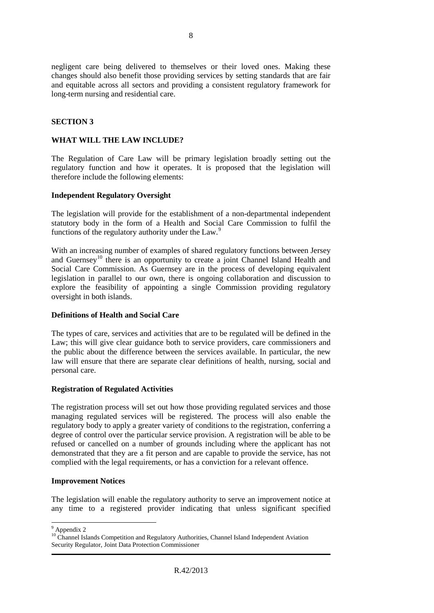negligent care being delivered to themselves or their loved ones. Making these changes should also benefit those providing services by setting standards that are fair and equitable across all sectors and providing a consistent regulatory framework for long-term nursing and residential care.

# **SECTION 3**

#### **WHAT WILL THE LAW INCLUDE?**

The Regulation of Care Law will be primary legislation broadly setting out the regulatory function and how it operates. It is proposed that the legislation will therefore include the following elements:

#### **Independent Regulatory Oversight**

The legislation will provide for the establishment of a non-departmental independent statutory body in the form of a Health and Social Care Commission to fulfil the functions of the regulatory authority under the Law.<sup>[9](#page-5-2)</sup>

With an increasing number of examples of shared regulatory functions between Jersey and Guernsey<sup>[10](#page-7-0)</sup> there is an opportunity to create a joint Channel Island Health and Social Care Commission. As Guernsey are in the process of developing equivalent legislation in parallel to our own, there is ongoing collaboration and discussion to explore the feasibility of appointing a single Commission providing regulatory oversight in both islands.

#### **Definitions of Health and Social Care**

The types of care, services and activities that are to be regulated will be defined in the Law; this will give clear guidance both to service providers, care commissioners and the public about the difference between the services available. In particular, the new law will ensure that there are separate clear definitions of health, nursing, social and personal care.

#### **Registration of Regulated Activities**

The registration process will set out how those providing regulated services and those managing regulated services will be registered. The process will also enable the regulatory body to apply a greater variety of conditions to the registration, conferring a degree of control over the particular service provision. A registration will be able to be refused or cancelled on a number of grounds including where the applicant has not demonstrated that they are a fit person and are capable to provide the service, has not complied with the legal requirements, or has a conviction for a relevant offence.

#### **Improvement Notices**

The legislation will enable the regulatory authority to serve an improvement notice at any time to a registered provider indicating that unless significant specified

 <sup>9</sup> Appendix 2

<span id="page-7-1"></span><span id="page-7-0"></span><sup>&</sup>lt;sup>10</sup> Channel Islands Competition and Regulatory Authorities, Channel Island Independent Aviation Security Regulator, Joint Data Protection Commissioner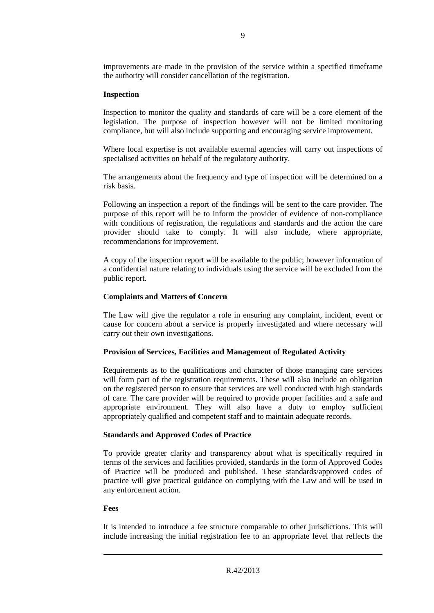improvements are made in the provision of the service within a specified timeframe the authority will consider cancellation of the registration.

# **Inspection**

Inspection to monitor the quality and standards of care will be a core element of the legislation. The purpose of inspection however will not be limited monitoring compliance, but will also include supporting and encouraging service improvement.

Where local expertise is not available external agencies will carry out inspections of specialised activities on behalf of the regulatory authority.

The arrangements about the frequency and type of inspection will be determined on a risk basis.

Following an inspection a report of the findings will be sent to the care provider. The purpose of this report will be to inform the provider of evidence of non-compliance with conditions of registration, the regulations and standards and the action the care provider should take to comply. It will also include, where appropriate, recommendations for improvement.

A copy of the inspection report will be available to the public; however information of a confidential nature relating to individuals using the service will be excluded from the public report.

# **Complaints and Matters of Concern**

The Law will give the regulator a role in ensuring any complaint, incident, event or cause for concern about a service is properly investigated and where necessary will carry out their own investigations.

# **Provision of Services, Facilities and Management of Regulated Activity**

Requirements as to the qualifications and character of those managing care services will form part of the registration requirements. These will also include an obligation on the registered person to ensure that services are well conducted with high standards of care. The care provider will be required to provide proper facilities and a safe and appropriate environment. They will also have a duty to employ sufficient appropriately qualified and competent staff and to maintain adequate records.

#### **Standards and Approved Codes of Practice**

To provide greater clarity and transparency about what is specifically required in terms of the services and facilities provided, standards in the form of Approved Codes of Practice will be produced and published. These standards/approved codes of practice will give practical guidance on complying with the Law and will be used in any enforcement action.

#### **Fees**

It is intended to introduce a fee structure comparable to other jurisdictions. This will include increasing the initial registration fee to an appropriate level that reflects the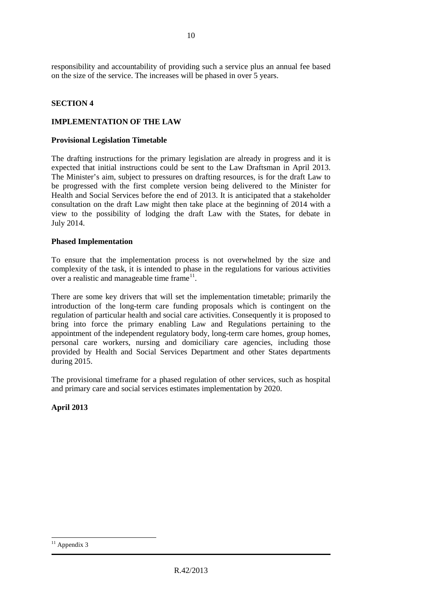responsibility and accountability of providing such a service plus an annual fee based on the size of the service. The increases will be phased in over 5 years.

# **SECTION 4**

# **IMPLEMENTATION OF THE LAW**

#### **Provisional Legislation Timetable**

The drafting instructions for the primary legislation are already in progress and it is expected that initial instructions could be sent to the Law Draftsman in April 2013. The Minister's aim, subject to pressures on drafting resources, is for the draft Law to be progressed with the first complete version being delivered to the Minister for Health and Social Services before the end of 2013. It is anticipated that a stakeholder consultation on the draft Law might then take place at the beginning of 2014 with a view to the possibility of lodging the draft Law with the States, for debate in July 2014.

# **Phased Implementation**

To ensure that the implementation process is not overwhelmed by the size and complexity of the task, it is intended to phase in the regulations for various activities over a realistic and manageable time frame<sup>[11](#page-7-1)</sup>.

There are some key drivers that will set the implementation timetable; primarily the introduction of the long-term care funding proposals which is contingent on the regulation of particular health and social care activities. Consequently it is proposed to bring into force the primary enabling Law and Regulations pertaining to the appointment of the independent regulatory body, long-term care homes, group homes, personal care workers, nursing and domiciliary care agencies, including those provided by Health and Social Services Department and other States departments during 2015.

The provisional timeframe for a phased regulation of other services, such as hospital and primary care and social services estimates implementation by 2020.

**April 2013**

 $11$  Appendix 3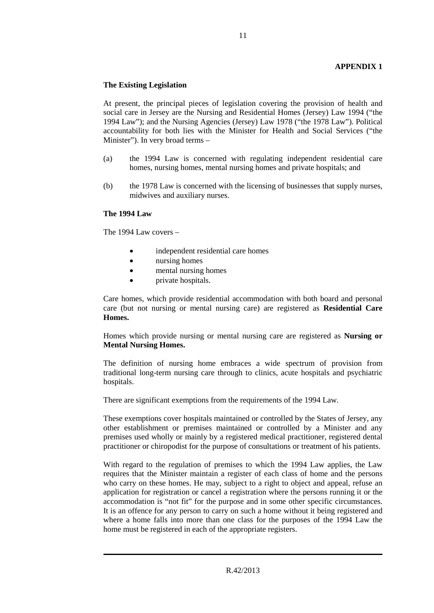# **APPENDIX 1**

#### **The Existing Legislation**

At present, the principal pieces of legislation covering the provision of health and social care in Jersey are the Nursing and Residential Homes (Jersey) Law 1994 ("the 1994 Law"); and the Nursing Agencies (Jersey) Law 1978 ("the 1978 Law"). Political accountability for both lies with the Minister for Health and Social Services ("the Minister"). In very broad terms –

- (a) the 1994 Law is concerned with regulating independent residential care homes, nursing homes, mental nursing homes and private hospitals; and
- (b) the 1978 Law is concerned with the licensing of businesses that supply nurses, midwives and auxiliary nurses.

#### **The 1994 Law**

The 1994 Law covers –

- independent residential care homes
- nursing homes
- mental nursing homes
- **private hospitals.**

Care homes, which provide residential accommodation with both board and personal care (but not nursing or mental nursing care) are registered as **Residential Care Homes.**

Homes which provide nursing or mental nursing care are registered as **Nursing or Mental Nursing Homes.**

The definition of nursing home embraces a wide spectrum of provision from traditional long-term nursing care through to clinics, acute hospitals and psychiatric hospitals.

There are significant exemptions from the requirements of the 1994 Law.

These exemptions cover hospitals maintained or controlled by the States of Jersey, any other establishment or premises maintained or controlled by a Minister and any premises used wholly or mainly by a registered medical practitioner, registered dental practitioner or chiropodist for the purpose of consultations or treatment of his patients.

With regard to the regulation of premises to which the 1994 Law applies, the Law requires that the Minister maintain a register of each class of home and the persons who carry on these homes. He may, subject to a right to object and appeal, refuse an application for registration or cancel a registration where the persons running it or the accommodation is "not fit" for the purpose and in some other specific circumstances. It is an offence for any person to carry on such a home without it being registered and where a home falls into more than one class for the purposes of the 1994 Law the home must be registered in each of the appropriate registers.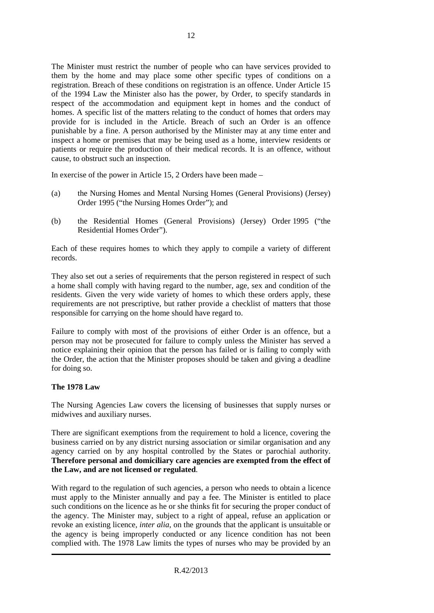The Minister must restrict the number of people who can have services provided to them by the home and may place some other specific types of conditions on a registration. Breach of these conditions on registration is an offence. Under Article 15 of the 1994 Law the Minister also has the power, by Order, to specify standards in respect of the accommodation and equipment kept in homes and the conduct of homes. A specific list of the matters relating to the conduct of homes that orders may provide for is included in the Article. Breach of such an Order is an offence punishable by a fine. A person authorised by the Minister may at any time enter and inspect a home or premises that may be being used as a home, interview residents or patients or require the production of their medical records. It is an offence, without cause, to obstruct such an inspection.

In exercise of the power in Article 15, 2 Orders have been made –

- (a) the Nursing Homes and Mental Nursing Homes (General Provisions) (Jersey) Order 1995 ("the Nursing Homes Order"); and
- (b) the Residential Homes (General Provisions) (Jersey) Order 1995 ("the Residential Homes Order").

Each of these requires homes to which they apply to compile a variety of different records.

They also set out a series of requirements that the person registered in respect of such a home shall comply with having regard to the number, age, sex and condition of the residents. Given the very wide variety of homes to which these orders apply, these requirements are not prescriptive, but rather provide a checklist of matters that those responsible for carrying on the home should have regard to.

Failure to comply with most of the provisions of either Order is an offence, but a person may not be prosecuted for failure to comply unless the Minister has served a notice explaining their opinion that the person has failed or is failing to comply with the Order, the action that the Minister proposes should be taken and giving a deadline for doing so.

# **The 1978 Law**

The Nursing Agencies Law covers the licensing of businesses that supply nurses or midwives and auxiliary nurses.

There are significant exemptions from the requirement to hold a licence, covering the business carried on by any district nursing association or similar organisation and any agency carried on by any hospital controlled by the States or parochial authority. **Therefore personal and domiciliary care agencies are exempted from the effect of the Law, and are not licensed or regulated**.

With regard to the regulation of such agencies, a person who needs to obtain a licence must apply to the Minister annually and pay a fee. The Minister is entitled to place such conditions on the licence as he or she thinks fit for securing the proper conduct of the agency. The Minister may, subject to a right of appeal, refuse an application or revoke an existing licence, *inter alia*, on the grounds that the applicant is unsuitable or the agency is being improperly conducted or any licence condition has not been complied with. The 1978 Law limits the types of nurses who may be provided by an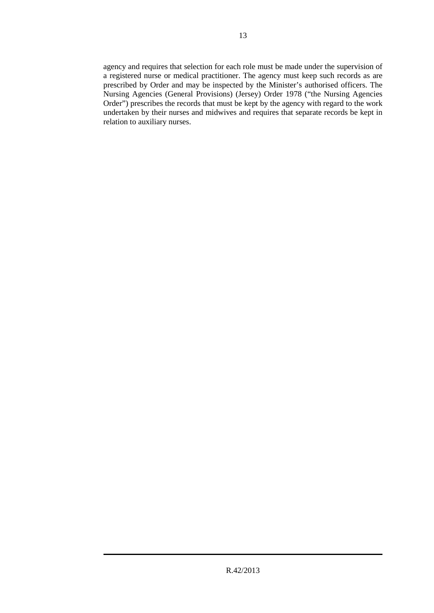agency and requires that selection for each role must be made under the supervision of a registered nurse or medical practitioner. The agency must keep such records as are prescribed by Order and may be inspected by the Minister's authorised officers. The Nursing Agencies (General Provisions) (Jersey) Order 1978 ("the Nursing Agencies Order") prescribes the records that must be kept by the agency with regard to the work undertaken by their nurses and midwives and requires that separate records be kept in relation to auxiliary nurses.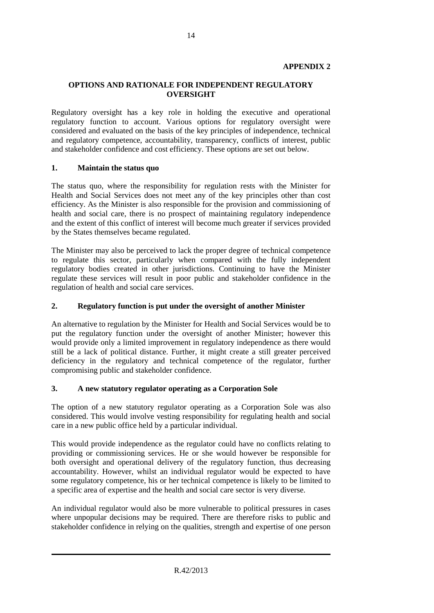# **APPENDIX 2**

# **OPTIONS AND RATIONALE FOR INDEPENDENT REGULATORY OVERSIGHT**

Regulatory oversight has a key role in holding the executive and operational regulatory function to account. Various options for regulatory oversight were considered and evaluated on the basis of the key principles of independence, technical and regulatory competence, accountability, transparency, conflicts of interest, public and stakeholder confidence and cost efficiency. These options are set out below.

#### **1. Maintain the status quo**

The status quo, where the responsibility for regulation rests with the Minister for Health and Social Services does not meet any of the key principles other than cost efficiency. As the Minister is also responsible for the provision and commissioning of health and social care, there is no prospect of maintaining regulatory independence and the extent of this conflict of interest will become much greater if services provided by the States themselves became regulated.

The Minister may also be perceived to lack the proper degree of technical competence to regulate this sector, particularly when compared with the fully independent regulatory bodies created in other jurisdictions. Continuing to have the Minister regulate these services will result in poor public and stakeholder confidence in the regulation of health and social care services.

#### **2. Regulatory function is put under the oversight of another Minister**

An alternative to regulation by the Minister for Health and Social Services would be to put the regulatory function under the oversight of another Minister; however this would provide only a limited improvement in regulatory independence as there would still be a lack of political distance. Further, it might create a still greater perceived deficiency in the regulatory and technical competence of the regulator, further compromising public and stakeholder confidence.

#### **3. A new statutory regulator operating as a Corporation Sole**

The option of a new statutory regulator operating as a Corporation Sole was also considered. This would involve vesting responsibility for regulating health and social care in a new public office held by a particular individual.

This would provide independence as the regulator could have no conflicts relating to providing or commissioning services. He or she would however be responsible for both oversight and operational delivery of the regulatory function, thus decreasing accountability. However, whilst an individual regulator would be expected to have some regulatory competence, his or her technical competence is likely to be limited to a specific area of expertise and the health and social care sector is very diverse.

An individual regulator would also be more vulnerable to political pressures in cases where unpopular decisions may be required. There are therefore risks to public and stakeholder confidence in relying on the qualities, strength and expertise of one person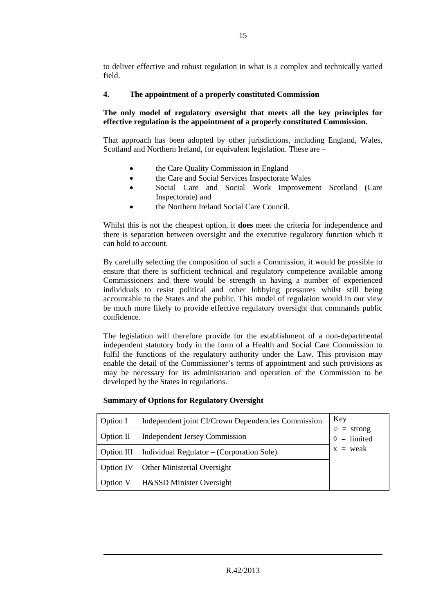to deliver effective and robust regulation in what is a complex and technically varied field.

# **4. The appointment of a properly constituted Commission**

# **The only model of regulatory oversight that meets all the key principles for effective regulation is the appointment of a properly constituted Commission.**

That approach has been adopted by other jurisdictions, including England, Wales, Scotland and Northern Ireland, for equivalent legislation. These are –

- the Care Quality Commission in England
- the Care and Social Services Inspectorate Wales
- Social Care and Social Work Improvement Scotland (Care Inspectorate) and
- the Northern Ireland Social Care Council.

Whilst this is not the cheapest option, it **does** meet the criteria for independence and there is separation between oversight and the executive regulatory function which it can hold to account.

By carefully selecting the composition of such a Commission, it would be possible to ensure that there is sufficient technical and regulatory competence available among Commissioners and there would be strength in having a number of experienced individuals to resist political and other lobbying pressures whilst still being accountable to the States and the public. This model of regulation would in our view be much more likely to provide effective regulatory oversight that commands public confidence.

The legislation will therefore provide for the establishment of a non-departmental independent statutory body in the form of a Health and Social Care Commission to fulfil the functions of the regulatory authority under the Law. This provision may enable the detail of the Commissioner's terms of appointment and such provisions as may be necessary for its administration and operation of the Commission to be developed by the States in regulations.

| Option I    | Independent joint CI/Crown Dependencies Commission | Key                                           |  |
|-------------|----------------------------------------------------|-----------------------------------------------|--|
| Option $II$ | <b>Independent Jersey Commission</b>               | $=$ strong<br>$\circ$<br>$\Diamond$ = limited |  |
| Option III  | Individual Regulator – (Corporation Sole)          | $x =$ weak                                    |  |
| Option IV   | <b>Other Ministerial Oversight</b>                 |                                               |  |
| Option V    | H&SSD Minister Oversight                           |                                               |  |

# **Summary of Options for Regulatory Oversight**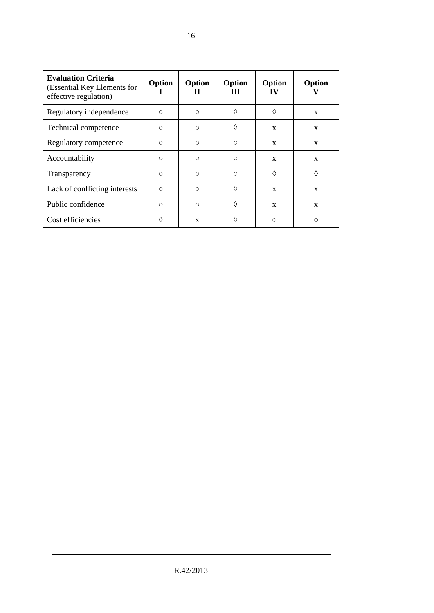| <b>Evaluation Criteria</b><br>(Essential Key Elements for<br>effective regulation) | Option<br>н | Option<br>Ш | Option<br>Ш | Option<br>IV | Option       |
|------------------------------------------------------------------------------------|-------------|-------------|-------------|--------------|--------------|
| Regulatory independence                                                            | $\bigcirc$  | $\circ$     | ♦           | ♦            | $\mathbf{x}$ |
| Technical competence                                                               | $\bigcirc$  | $\Omega$    | ♦           | X            | X            |
| Regulatory competence                                                              | $\circ$     | $\circ$     | $\circ$     | X            | $\mathbf{x}$ |
| Accountability                                                                     | $\bigcirc$  | $\bigcirc$  | $\circ$     | X            | X            |
| Transparency                                                                       | $\bigcirc$  | $\circ$     | $\circ$     | ♦            | ♦            |
| Lack of conflicting interests                                                      | $\bigcap$   | $\bigcirc$  | ♦           | $\mathbf{x}$ | $\mathbf{x}$ |
| Public confidence                                                                  | $\bigcirc$  | $\bigcirc$  | ♦           | X            | X            |
| Cost efficiencies                                                                  | ♦           | X           | ♦           | $\circ$      | $\circ$      |